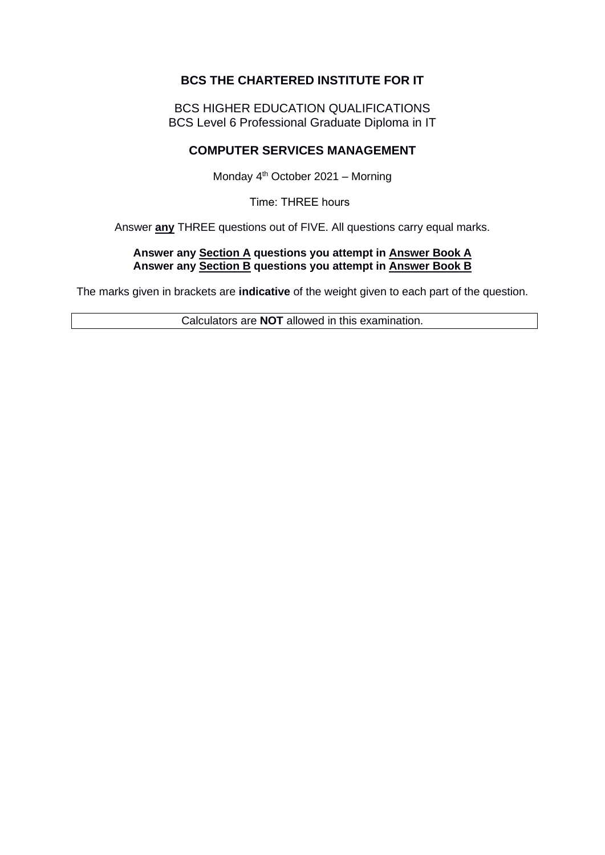# **BCS THE CHARTERED INSTITUTE FOR IT**

BCS HIGHER EDUCATION QUALIFICATIONS BCS Level 6 Professional Graduate Diploma in IT

# **COMPUTER SERVICES MANAGEMENT**

Monday 4th October 2021 – Morning

Time: THREE hours 

Answer **any** THREE questions out of FIVE. All questions carry equal marks.

#### **Answer any Section A questions you attempt in Answer Book A Answer any Section B questions you attempt in Answer Book B**

The marks given in brackets are **indicative** of the weight given to each part of the question.

Calculators are **NOT** allowed in this examination.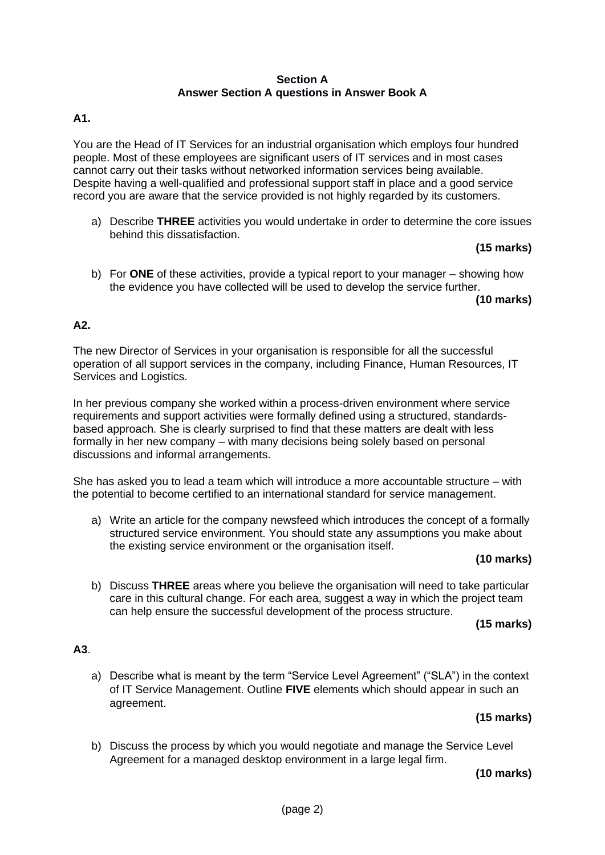### **Section A Answer Section A questions in Answer Book A**

## **A1.**

You are the Head of IT Services for an industrial organisation which employs four hundred people. Most of these employees are significant users of IT services and in most cases cannot carry out their tasks without networked information services being available. Despite having a well-qualified and professional support staff in place and a good service record you are aware that the service provided is not highly regarded by its customers.

a) Describe **THREE** activities you would undertake in order to determine the core issues behind this dissatisfaction.

### **(15 marks)**

b) For **ONE** of these activities, provide a typical report to your manager – showing how the evidence you have collected will be used to develop the service further.

**(10 marks)**

## **A2.**

The new Director of Services in your organisation is responsible for all the successful operation of all support services in the company, including Finance, Human Resources, IT Services and Logistics.

In her previous company she worked within a process-driven environment where service requirements and support activities were formally defined using a structured, standardsbased approach. She is clearly surprised to find that these matters are dealt with less formally in her new company – with many decisions being solely based on personal discussions and informal arrangements.

She has asked you to lead a team which will introduce a more accountable structure – with the potential to become certified to an international standard for service management.

a) Write an article for the company newsfeed which introduces the concept of a formally structured service environment. You should state any assumptions you make about the existing service environment or the organisation itself.

#### **(10 marks)**

b) Discuss **THREE** areas where you believe the organisation will need to take particular care in this cultural change. For each area, suggest a way in which the project team can help ensure the successful development of the process structure.

#### **(15 marks)**

# **A3**.

a) Describe what is meant by the term "Service Level Agreement" ("SLA") in the context of IT Service Management. Outline **FIVE** elements which should appear in such an agreement.

# **(15 marks)**

b) Discuss the process by which you would negotiate and manage the Service Level Agreement for a managed desktop environment in a large legal firm.

## **(10 marks)**